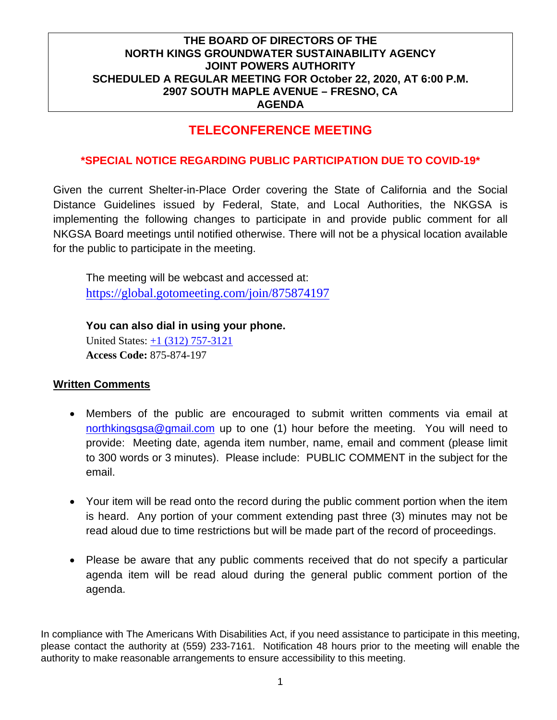## **TELECONFERENCE MEETING**

#### **\*SPECIAL NOTICE REGARDING PUBLIC PARTICIPATION DUE TO COVID-19\***

Given the current Shelter-in-Place Order covering the State of California and the Social Distance Guidelines issued by Federal, State, and Local Authorities, the NKGSA is implementing the following changes to participate in and provide public comment for all NKGSA Board meetings until notified otherwise. There will not be a physical location available for the public to participate in the meeting.

The meeting will be webcast and accessed at: <https://global.gotomeeting.com/join/875874197>

**You can also dial in using your phone.**  United States: [+1 \(312\) 757-3121](tel:+13127573121,,875874197) **Access Code:** 875-874-197

#### **Written Comments**

- Members of the public are encouraged to submit written comments via email at [northkingsgsa@gmail.com](mailto:northkingsgsa@gmail.com) up to one (1) hour before the meeting. You will need to provide: Meeting date, agenda item number, name, email and comment (please limit to 300 words or 3 minutes). Please include: PUBLIC COMMENT in the subject for the email.
- Your item will be read onto the record during the public comment portion when the item is heard. Any portion of your comment extending past three (3) minutes may not be read aloud due to time restrictions but will be made part of the record of proceedings.
- Please be aware that any public comments received that do not specify a particular agenda item will be read aloud during the general public comment portion of the agenda.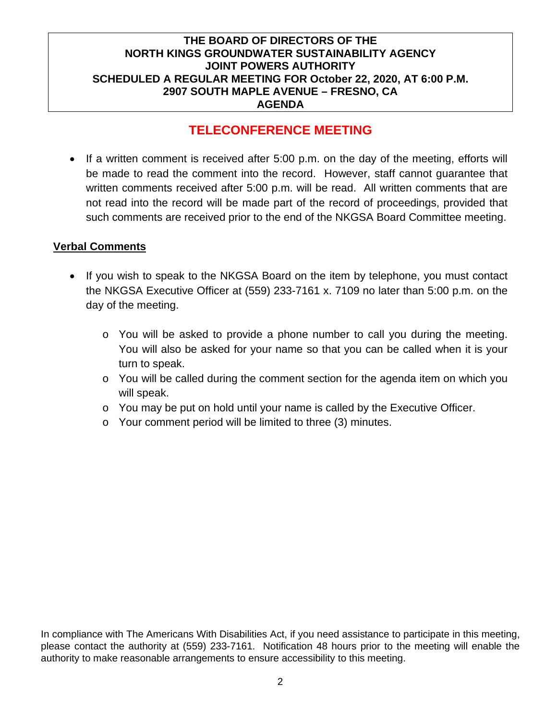## **TELECONFERENCE MEETING**

• If a written comment is received after 5:00 p.m. on the day of the meeting, efforts will be made to read the comment into the record. However, staff cannot guarantee that written comments received after 5:00 p.m. will be read. All written comments that are not read into the record will be made part of the record of proceedings, provided that such comments are received prior to the end of the NKGSA Board Committee meeting.

#### **Verbal Comments**

- If you wish to speak to the NKGSA Board on the item by telephone, you must contact the NKGSA Executive Officer at (559) 233-7161 x. 7109 no later than 5:00 p.m. on the day of the meeting.
	- o You will be asked to provide a phone number to call you during the meeting. You will also be asked for your name so that you can be called when it is your turn to speak.
	- $\circ$  You will be called during the comment section for the agenda item on which you will speak.
	- $\circ$  You may be put on hold until your name is called by the Executive Officer.
	- o Your comment period will be limited to three (3) minutes.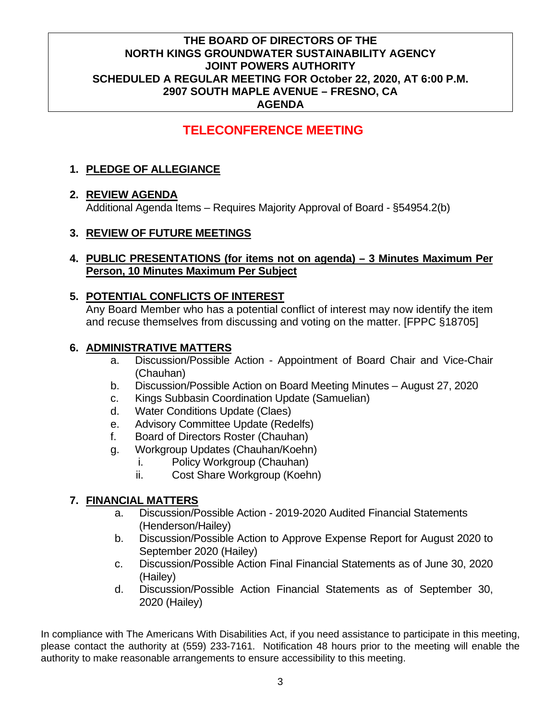## **TELECONFERENCE MEETING**

## **1. PLEDGE OF ALLEGIANCE**

## **2. REVIEW AGENDA**

Additional Agenda Items – Requires Majority Approval of Board - §54954.2(b)

## **3. REVIEW OF FUTURE MEETINGS**

#### **4. PUBLIC PRESENTATIONS (for items not on agenda) – 3 Minutes Maximum Per Person, 10 Minutes Maximum Per Subject**

### **5. POTENTIAL CONFLICTS OF INTEREST**

Any Board Member who has a potential conflict of interest may now identify the item and recuse themselves from discussing and voting on the matter. [FPPC §18705]

#### **6. ADMINISTRATIVE MATTERS**

- a. Discussion/Possible Action Appointment of Board Chair and Vice-Chair (Chauhan)
- b. Discussion/Possible Action on Board Meeting Minutes August 27, 2020
- c. Kings Subbasin Coordination Update (Samuelian)
- d. Water Conditions Update (Claes)
- e. Advisory Committee Update (Redelfs)
- f. Board of Directors Roster (Chauhan)
- g. Workgroup Updates (Chauhan/Koehn)
	- i. Policy Workgroup (Chauhan)
	- ii. Cost Share Workgroup (Koehn)

## **7. FINANCIAL MATTERS**

- a. Discussion/Possible Action 2019-2020 Audited Financial Statements (Henderson/Hailey)
- b. Discussion/Possible Action to Approve Expense Report for August 2020 to September 2020 (Hailey)
- c. Discussion/Possible Action Final Financial Statements as of June 30, 2020 (Hailey)
- d. Discussion/Possible Action Financial Statements as of September 30, 2020 (Hailey)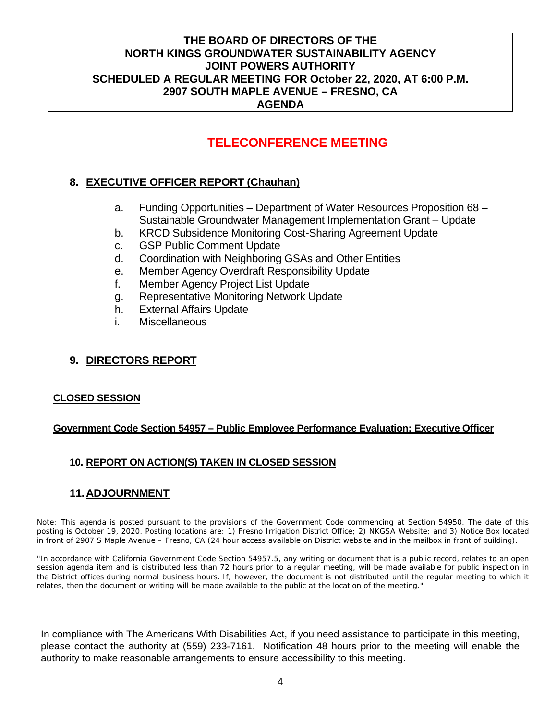# **TELECONFERENCE MEETING**

## **8. EXECUTIVE OFFICER REPORT (Chauhan)**

- a. Funding Opportunities Department of Water Resources Proposition 68 Sustainable Groundwater Management Implementation Grant – Update
- b. KRCD Subsidence Monitoring Cost-Sharing Agreement Update
- c. GSP Public Comment Update
- d. Coordination with Neighboring GSAs and Other Entities
- e. Member Agency Overdraft Responsibility Update
- f. Member Agency Project List Update
- g. Representative Monitoring Network Update
- h. External Affairs Update
- i. Miscellaneous

## **9. DIRECTORS REPORT**

#### **CLOSED SESSION**

#### **Government Code Section 54957 – Public Employee Performance Evaluation: Executive Officer**

## **10. REPORT ON ACTION(S) TAKEN IN CLOSED SESSION**

## **11.ADJOURNMENT**

Note: This agenda is posted pursuant to the provisions of the Government Code commencing at Section 54950. The date of this posting is October 19, 2020. Posting locations are: 1) Fresno Irrigation District Office; 2) NKGSA Website; and 3) Notice Box located in front of 2907 S Maple Avenue – Fresno, CA (24 hour access available on District website and in the mailbox in front of building).

"In accordance with California Government Code Section 54957.5, any writing or document that is a public record, relates to an open session agenda item and is distributed less than 72 hours prior to a regular meeting, will be made available for public inspection in the District offices during normal business hours. If, however, the document is not distributed until the regular meeting to which it relates, then the document or writing will be made available to the public at the location of the meeting."